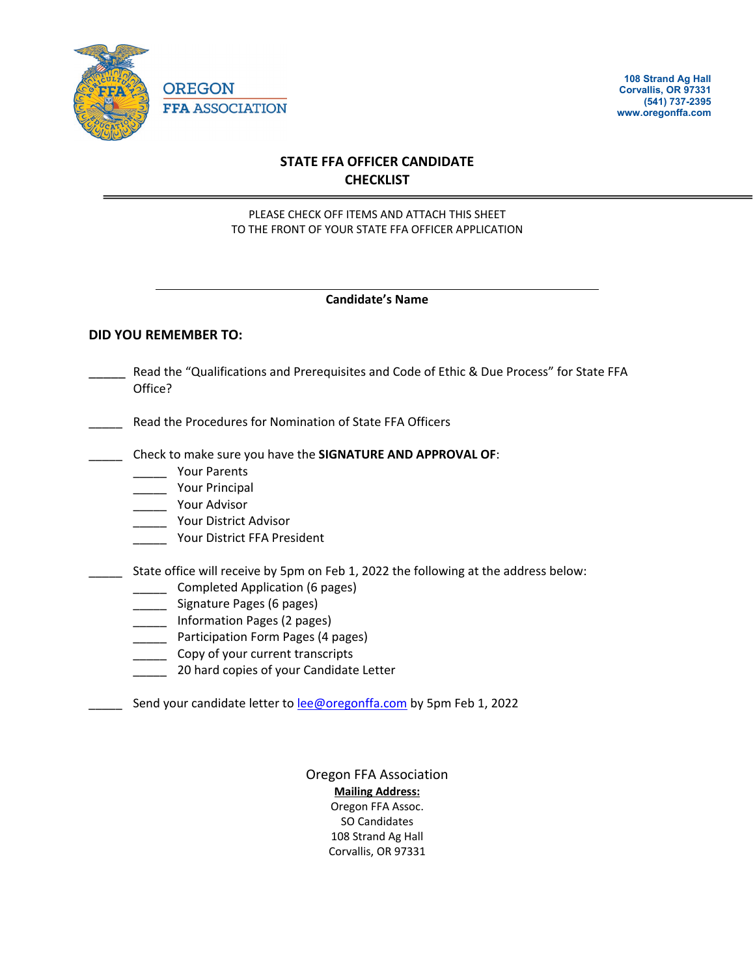

**108 Strand Ag Hall Corvallis, OR 97331 (541) 737-2395 www.oregonffa.com**

# **STATE FFA OFFICER CANDIDATE CHECKLIST**

### PLEASE CHECK OFF ITEMS AND ATTACH THIS SHEET TO THE FRONT OF YOUR STATE FFA OFFICER APPLICATION

### **Candidate's Name**

### **DID YOU REMEMBER TO:**

- Read the "Qualifications and Prerequisites and Code of Ethic & Due Process" for State FFA Office?
- Read the Procedures for Nomination of State FFA Officers
- \_\_\_\_\_ Check to make sure you have the **SIGNATURE AND APPROVAL OF**:
	- \_\_\_\_\_ Your Parents
	- \_\_\_\_\_ Your Principal
	- \_\_\_\_\_ Your Advisor
	- \_\_\_\_\_ Your District Advisor
	- \_\_\_\_\_ Your District FFA President
- State office will receive by 5pm on Feb 1, 2022 the following at the address below:
	- \_\_\_\_\_\_ Completed Application (6 pages)
	- \_\_\_\_\_ Signature Pages (6 pages)
	- \_\_\_\_\_ Information Pages (2 pages)
	- **\_\_\_\_\_** Participation Form Pages (4 pages)
	- **LETT** Copy of your current transcripts
	- **20 hard copies of your Candidate Letter**
- Send your candidate letter to [lee@oregonffa.com](mailto:lee@oregonffa.com) by 5pm Feb 1, 2022

Oregon FFA Association **Mailing Address:** Oregon FFA Assoc. SO Candidates 108 Strand Ag Hall Corvallis, OR 97331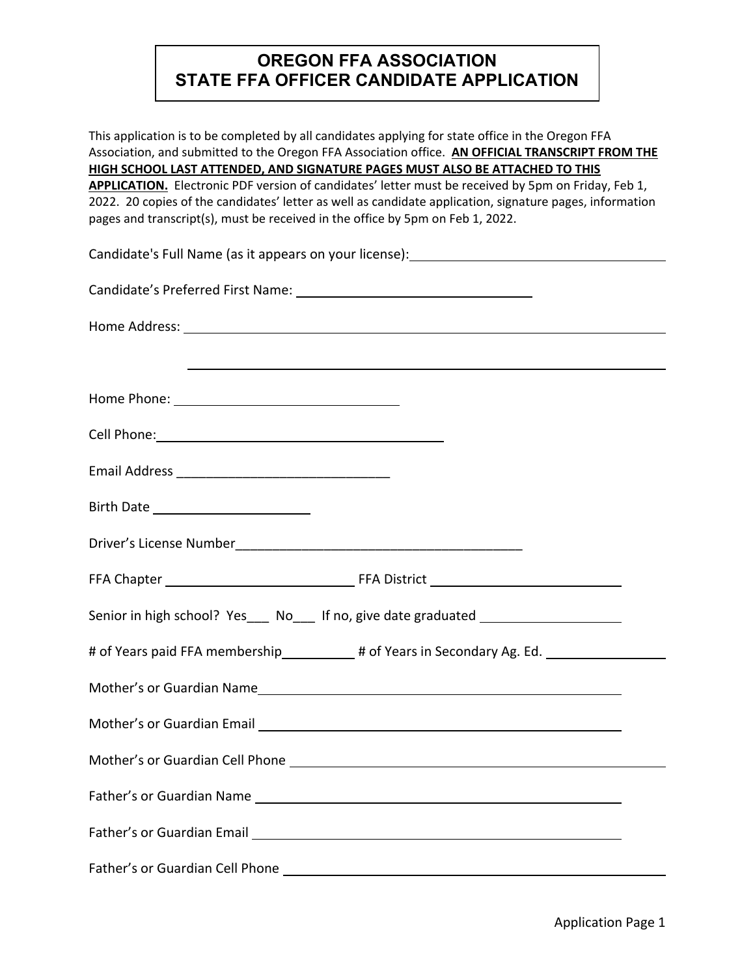# **OREGON FFA ASSOCIATION STATE FFA OFFICER CANDIDATE APPLICATION**

This application is to be completed by all candidates applying for state office in the Oregon FFA Association, and submitted to the Oregon FFA Association office. **AN OFFICIAL TRANSCRIPT FROM THE HIGH SCHOOL LAST ATTENDED, AND SIGNATURE PAGES MUST ALSO BE ATTACHED TO THIS** 

**APPLICATION.** Electronic PDF version of candidates' letter must be received by 5pm on Friday, Feb 1, 2022. 20 copies of the candidates' letter as well as candidate application, signature pages, information pages and transcript(s), must be received in the office by 5pm on Feb 1, 2022.

| Candidate's Full Name (as it appears on your license): __________________________                                     |  |
|-----------------------------------------------------------------------------------------------------------------------|--|
|                                                                                                                       |  |
|                                                                                                                       |  |
| <u> 1999 - Jan Barbara de Santo Alemania de Santo Alemánico de Santo Alemánico de Santo Alemánico de Santo Alemán</u> |  |
|                                                                                                                       |  |
|                                                                                                                       |  |
|                                                                                                                       |  |
|                                                                                                                       |  |
|                                                                                                                       |  |
|                                                                                                                       |  |
| Senior in high school? Yes___ No___ If no, give date graduated _________________                                      |  |
| # of Years paid FFA membership___________# of Years in Secondary Ag. Ed.                                              |  |
|                                                                                                                       |  |
|                                                                                                                       |  |
| Mother's or Guardian Cell Phone Manual Communication of the Communication of the Communication of the Communication   |  |
|                                                                                                                       |  |
|                                                                                                                       |  |
|                                                                                                                       |  |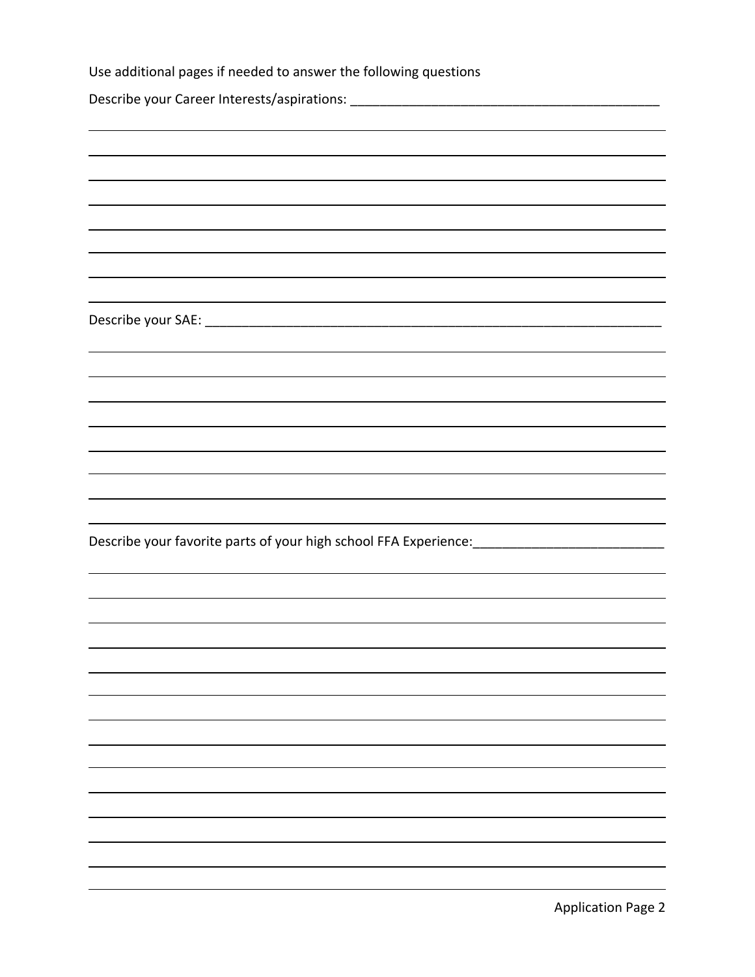| Use additional pages if needed to answer the following questions                                    |
|-----------------------------------------------------------------------------------------------------|
|                                                                                                     |
|                                                                                                     |
|                                                                                                     |
|                                                                                                     |
|                                                                                                     |
|                                                                                                     |
|                                                                                                     |
|                                                                                                     |
|                                                                                                     |
|                                                                                                     |
|                                                                                                     |
|                                                                                                     |
|                                                                                                     |
|                                                                                                     |
|                                                                                                     |
|                                                                                                     |
|                                                                                                     |
|                                                                                                     |
|                                                                                                     |
| Describe your favorite parts of your high school FFA Experience: __________________________________ |
|                                                                                                     |
|                                                                                                     |
|                                                                                                     |
|                                                                                                     |
|                                                                                                     |
|                                                                                                     |
|                                                                                                     |
|                                                                                                     |
|                                                                                                     |
|                                                                                                     |
|                                                                                                     |
|                                                                                                     |
|                                                                                                     |
|                                                                                                     |
|                                                                                                     |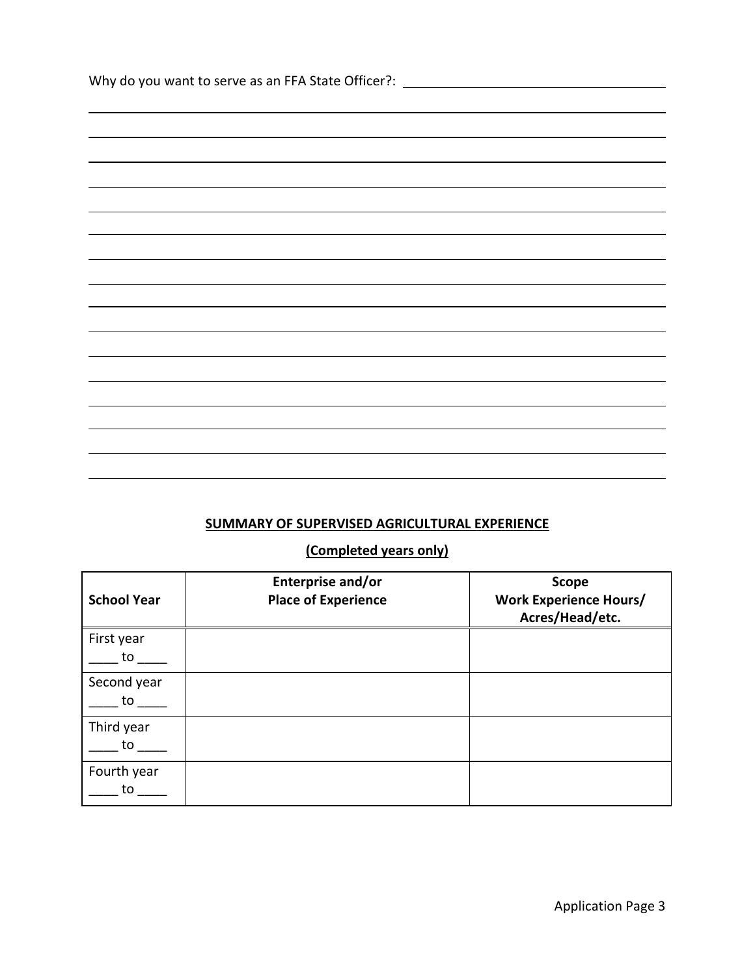| Why do you want to serve as an FFA State Officer?: _____________________________ |  |
|----------------------------------------------------------------------------------|--|
|                                                                                  |  |
|                                                                                  |  |
|                                                                                  |  |
|                                                                                  |  |
|                                                                                  |  |
|                                                                                  |  |
|                                                                                  |  |
|                                                                                  |  |
|                                                                                  |  |
|                                                                                  |  |
|                                                                                  |  |
|                                                                                  |  |
|                                                                                  |  |
|                                                                                  |  |
|                                                                                  |  |
|                                                                                  |  |
|                                                                                  |  |
|                                                                                  |  |
|                                                                                  |  |

# **SUMMARY OF SUPERVISED AGRICULTURAL EXPERIENCE**

# **(Completed years only)**

| <b>School Year</b> | Enterprise and/or<br><b>Place of Experience</b> | <b>Scope</b><br><b>Work Experience Hours/</b><br>Acres/Head/etc. |
|--------------------|-------------------------------------------------|------------------------------------------------------------------|
| First year<br>to   |                                                 |                                                                  |
| Second year<br>to  |                                                 |                                                                  |
| Third year<br>to   |                                                 |                                                                  |
| Fourth year<br>to  |                                                 |                                                                  |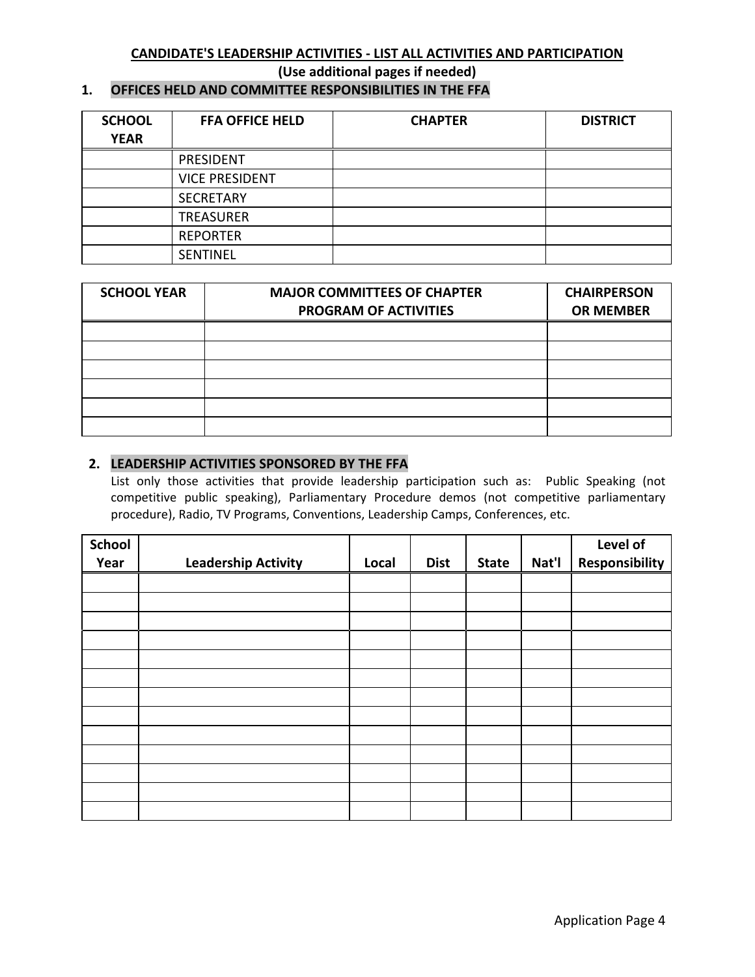### **CANDIDATE'S LEADERSHIP ACTIVITIES - LIST ALL ACTIVITIES AND PARTICIPATION**

**(Use additional pages if needed)**

## **1. OFFICES HELD AND COMMITTEE RESPONSIBILITIES IN THE FFA**

| <b>SCHOOL</b><br><b>YEAR</b> | <b>FFA OFFICE HELD</b> | <b>CHAPTER</b> | <b>DISTRICT</b> |
|------------------------------|------------------------|----------------|-----------------|
|                              | PRESIDENT              |                |                 |
|                              | <b>VICE PRESIDENT</b>  |                |                 |
|                              | <b>SECRETARY</b>       |                |                 |
|                              | <b>TREASURER</b>       |                |                 |
|                              | <b>REPORTER</b>        |                |                 |
|                              | <b>SENTINEL</b>        |                |                 |

| <b>SCHOOL YEAR</b> | <b>MAJOR COMMITTEES OF CHAPTER</b><br><b>PROGRAM OF ACTIVITIES</b> | <b>CHAIRPERSON</b><br><b>OR MEMBER</b> |
|--------------------|--------------------------------------------------------------------|----------------------------------------|
|                    |                                                                    |                                        |
|                    |                                                                    |                                        |
|                    |                                                                    |                                        |
|                    |                                                                    |                                        |
|                    |                                                                    |                                        |
|                    |                                                                    |                                        |

### **2. LEADERSHIP ACTIVITIES SPONSORED BY THE FFA**

List only those activities that provide leadership participation such as: Public Speaking (not competitive public speaking), Parliamentary Procedure demos (not competitive parliamentary procedure), Radio, TV Programs, Conventions, Leadership Camps, Conferences, etc.

| <b>School</b> |                            |       |             |              |       | Level of       |
|---------------|----------------------------|-------|-------------|--------------|-------|----------------|
| Year          | <b>Leadership Activity</b> | Local | <b>Dist</b> | <b>State</b> | Nat'l | Responsibility |
|               |                            |       |             |              |       |                |
|               |                            |       |             |              |       |                |
|               |                            |       |             |              |       |                |
|               |                            |       |             |              |       |                |
|               |                            |       |             |              |       |                |
|               |                            |       |             |              |       |                |
|               |                            |       |             |              |       |                |
|               |                            |       |             |              |       |                |
|               |                            |       |             |              |       |                |
|               |                            |       |             |              |       |                |
|               |                            |       |             |              |       |                |
|               |                            |       |             |              |       |                |
|               |                            |       |             |              |       |                |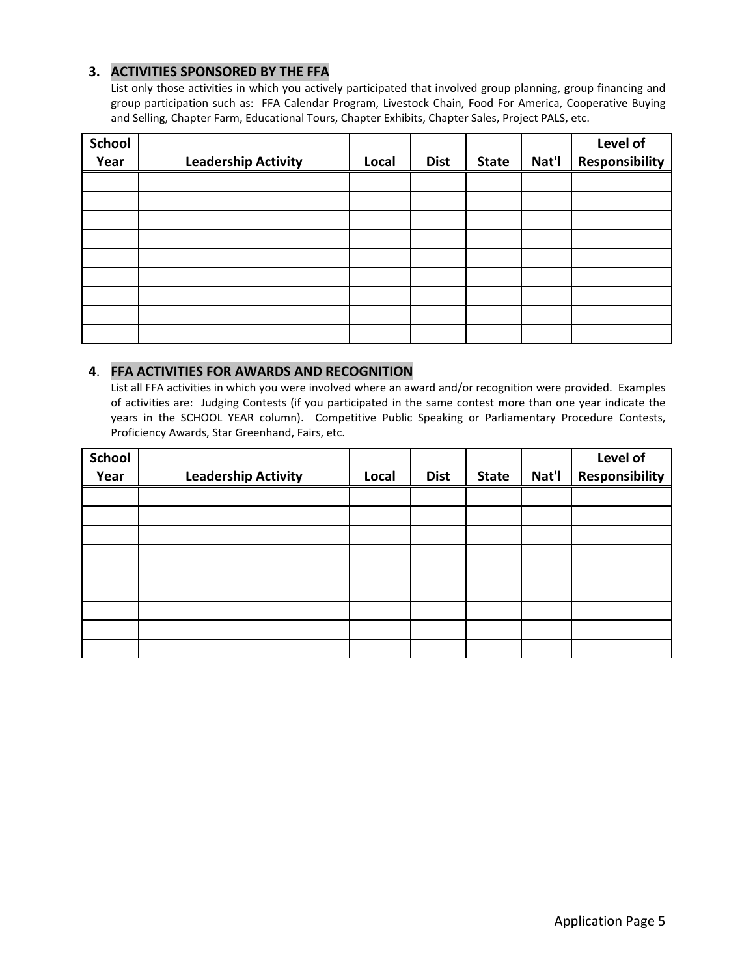### **3. ACTIVITIES SPONSORED BY THE FFA**

List only those activities in which you actively participated that involved group planning, group financing and group participation such as: FFA Calendar Program, Livestock Chain, Food For America, Cooperative Buying and Selling, Chapter Farm, Educational Tours, Chapter Exhibits, Chapter Sales, Project PALS, etc.

| <b>School</b><br>Year | <b>Leadership Activity</b> | Local | <b>Dist</b> | <b>State</b> | Nat'l | Level of<br><b>Responsibility</b> |
|-----------------------|----------------------------|-------|-------------|--------------|-------|-----------------------------------|
|                       |                            |       |             |              |       |                                   |
|                       |                            |       |             |              |       |                                   |
|                       |                            |       |             |              |       |                                   |
|                       |                            |       |             |              |       |                                   |
|                       |                            |       |             |              |       |                                   |
|                       |                            |       |             |              |       |                                   |
|                       |                            |       |             |              |       |                                   |
|                       |                            |       |             |              |       |                                   |
|                       |                            |       |             |              |       |                                   |

### **4**. **FFA ACTIVITIES FOR AWARDS AND RECOGNITION**

List all FFA activities in which you were involved where an award and/or recognition were provided. Examples of activities are: Judging Contests (if you participated in the same contest more than one year indicate the years in the SCHOOL YEAR column). Competitive Public Speaking or Parliamentary Procedure Contests, Proficiency Awards, Star Greenhand, Fairs, etc.

| <b>School</b> |                            |       |             |              |       | Level of              |
|---------------|----------------------------|-------|-------------|--------------|-------|-----------------------|
| Year          | <b>Leadership Activity</b> | Local | <b>Dist</b> | <b>State</b> | Nat'l | <b>Responsibility</b> |
|               |                            |       |             |              |       |                       |
|               |                            |       |             |              |       |                       |
|               |                            |       |             |              |       |                       |
|               |                            |       |             |              |       |                       |
|               |                            |       |             |              |       |                       |
|               |                            |       |             |              |       |                       |
|               |                            |       |             |              |       |                       |
|               |                            |       |             |              |       |                       |
|               |                            |       |             |              |       |                       |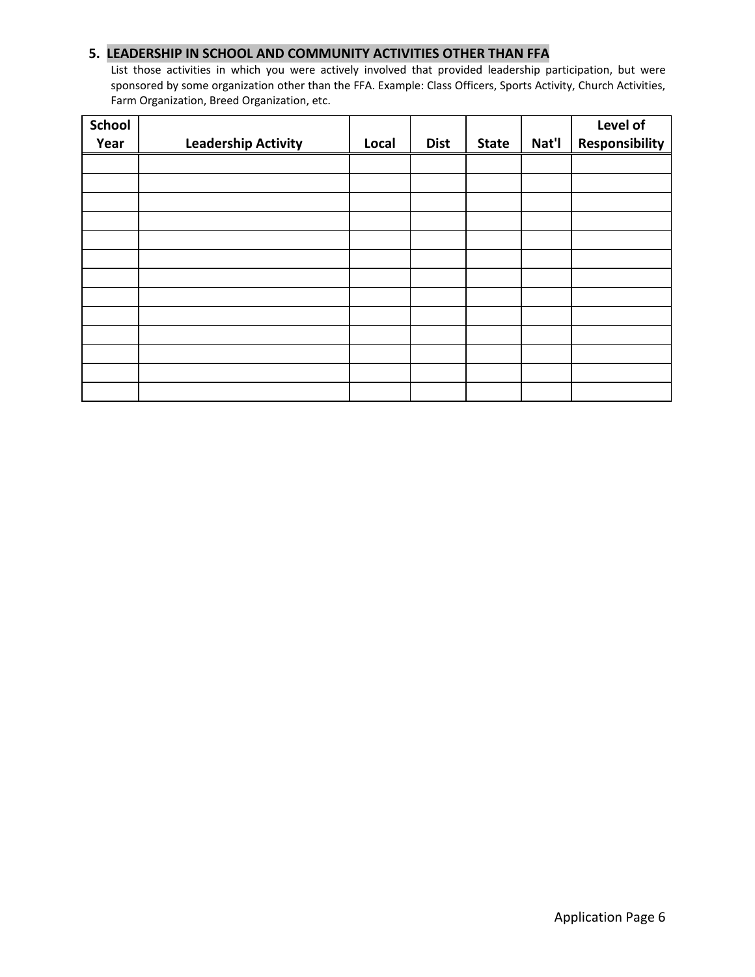### **5. LEADERSHIP IN SCHOOL AND COMMUNITY ACTIVITIES OTHER THAN FFA**

List those activities in which you were actively involved that provided leadership participation, but were sponsored by some organization other than the FFA. Example: Class Officers, Sports Activity, Church Activities, Farm Organization, Breed Organization, etc.

| <b>School</b><br>Year | <b>Leadership Activity</b> | Local | <b>Dist</b> | <b>State</b> | Nat'l | Level of<br>Responsibility |
|-----------------------|----------------------------|-------|-------------|--------------|-------|----------------------------|
|                       |                            |       |             |              |       |                            |
|                       |                            |       |             |              |       |                            |
|                       |                            |       |             |              |       |                            |
|                       |                            |       |             |              |       |                            |
|                       |                            |       |             |              |       |                            |
|                       |                            |       |             |              |       |                            |
|                       |                            |       |             |              |       |                            |
|                       |                            |       |             |              |       |                            |
|                       |                            |       |             |              |       |                            |
|                       |                            |       |             |              |       |                            |
|                       |                            |       |             |              |       |                            |
|                       |                            |       |             |              |       |                            |
|                       |                            |       |             |              |       |                            |
|                       |                            |       |             |              |       |                            |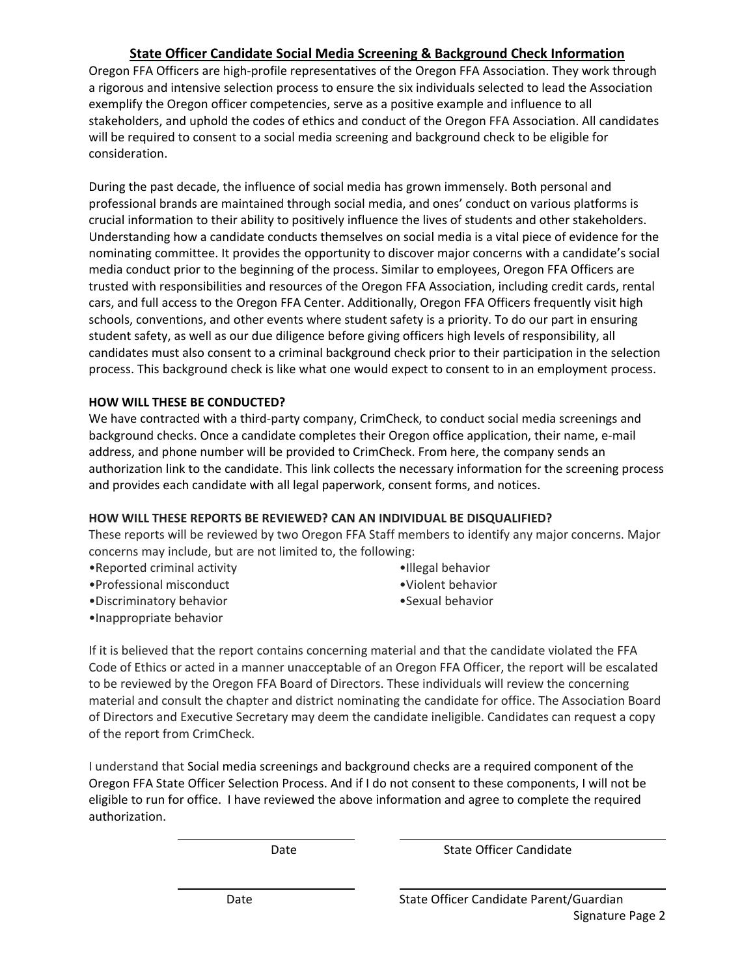# **State Officer Candidate Social Media Screening & Background Check Information**

Oregon FFA Officers are high-profile representatives of the Oregon FFA Association. They work through a rigorous and intensive selection process to ensure the six individuals selected to lead the Association exemplify the Oregon officer competencies, serve as a positive example and influence to all stakeholders, and uphold the codes of ethics and conduct of the Oregon FFA Association. All candidates will be required to consent to a social media screening and background check to be eligible for consideration.

During the past decade, the influence of social media has grown immensely. Both personal and professional brands are maintained through social media, and ones' conduct on various platforms is crucial information to their ability to positively influence the lives of students and other stakeholders. Understanding how a candidate conducts themselves on social media is a vital piece of evidence for the nominating committee. It provides the opportunity to discover major concerns with a candidate's social media conduct prior to the beginning of the process. Similar to employees, Oregon FFA Officers are trusted with responsibilities and resources of the Oregon FFA Association, including credit cards, rental cars, and full access to the Oregon FFA Center. Additionally, Oregon FFA Officers frequently visit high schools, conventions, and other events where student safety is a priority. To do our part in ensuring student safety, as well as our due diligence before giving officers high levels of responsibility, all candidates must also consent to a criminal background check prior to their participation in the selection process. This background check is like what one would expect to consent to in an employment process.

### **HOW WILL THESE BE CONDUCTED?**

We have contracted with a third-party company, CrimCheck, to conduct social media screenings and background checks. Once a candidate completes their Oregon office application, their name, e-mail address, and phone number will be provided to CrimCheck. From here, the company sends an authorization link to the candidate. This link collects the necessary information for the screening process and provides each candidate with all legal paperwork, consent forms, and notices.

### **HOW WILL THESE REPORTS BE REVIEWED? CAN AN INDIVIDUAL BE DISQUALIFIED?**

These reports will be reviewed by two Oregon FFA Staff members to identify any major concerns. Major concerns may include, but are not limited to, the following:

- •Reported criminal activity
- •Professional misconduct
- •Discriminatory behavior
	-
- •Illegal behavior •Violent behavior
- •Sexual behavior

•Inappropriate behavior

If it is believed that the report contains concerning material and that the candidate violated the FFA Code of Ethics or acted in a manner unacceptable of an Oregon FFA Officer, the report will be escalated to be reviewed by the Oregon FFA Board of Directors. These individuals will review the concerning material and consult the chapter and district nominating the candidate for office. The Association Board of Directors and Executive Secretary may deem the candidate ineligible. Candidates can request a copy of the report from CrimCheck.

I understand that Social media screenings and background checks are a required component of the Oregon FFA State Officer Selection Process. And if I do not consent to these components, I will not be eligible to run for office. I have reviewed the above information and agree to complete the required authorization.

Date **State Officer Candidate**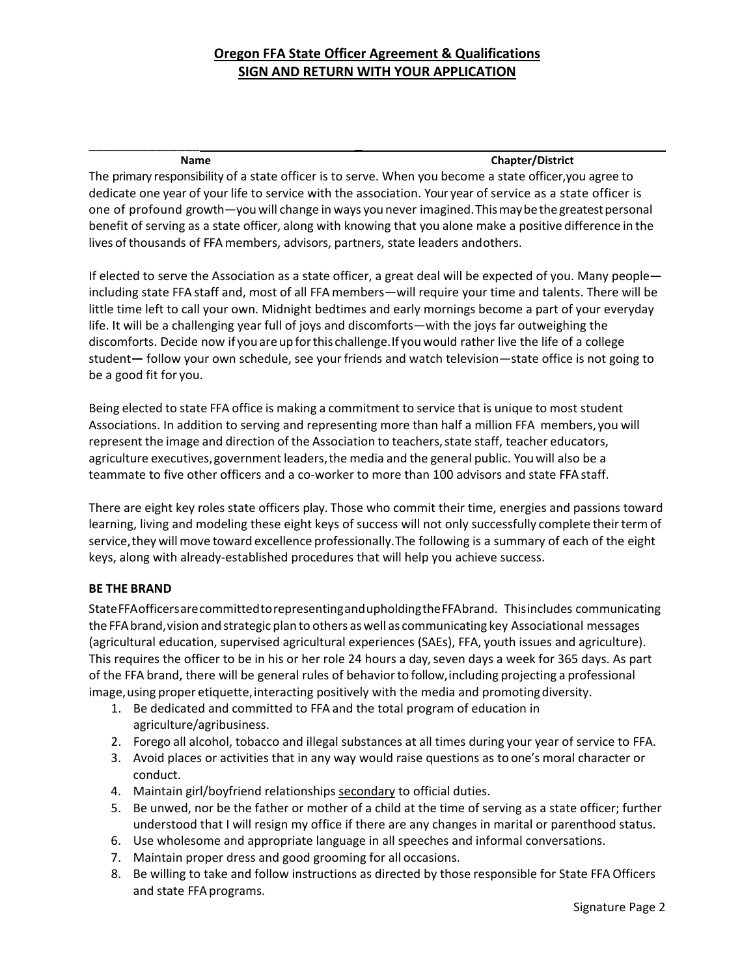# **Oregon FFA State Officer Agreement & Qualifications SIGN AND RETURN WITH YOUR APPLICATION**

# \_\_\_\_\_\_\_\_\_\_\_\_\_\_\_ **\_**

**Name Chapter/District**

The primary responsibility of a state officer is to serve. When you become a state officer,you agree to dedicate one year of your life to service with the association. Your year of service as a state officer is one of profound growth—youwill change in ways you never imagined. Thismaybethegreatestpersonal benefit of serving as a state officer, along with knowing that you alone make a positive difference in the lives of thousands of FFA members, advisors, partners, state leaders andothers.

If elected to serve the Association as a state officer, a great deal will be expected of you. Many people including state FFA staff and, most of all FFA members—will require your time and talents. There will be little time left to call your own. Midnight bedtimes and early mornings become a part of your everyday life. It will be a challenging year full of joys and discomforts—with the joys far outweighing the discomforts. Decide now if you areup forthis challenge.If youwould rather live the life of a college student**—** follow your own schedule, see yourfriends and watch television—state office is not going to be a good fit for you.

Being elected to state FFA office is making a commitment to service that is unique to most student Associations. In addition to serving and representing more than half a million FFA members, you will represent the image and direction of the Association to teachers, state staff, teacher educators, agriculture executives,government leaders,the media and the general public. You will also be a teammate to five other officers and a co-worker to more than 100 advisors and state FFA staff.

There are eight key roles state officers play. Those who commit their time, energies and passions toward learning, living and modeling these eight keys of success will not only successfully complete their term of service, they will move toward excellence professionally. The following is a summary of each of the eight keys, along with already-established procedures that will help you achieve success.

### **BE THE BRAND**

StateFFAofficersarecommittedtorepresentingandupholdingtheFFAbrand. Thisincludes communicating the FFA brand, vision and strategic plan to others as well as communicating key Associational messages (agricultural education, supervised agricultural experiences (SAEs), FFA, youth issues and agriculture). This requires the officer to be in his or her role 24 hours a day, seven days a week for 365 days. As part of the FFA brand, there will be general rules of behaviorto follow,including projecting a professional image, using proper etiquette, interacting positively with the media and promoting diversity.

- 1. Be dedicated and committed to FFA and the total program of education in agriculture/agribusiness.
- 2. Forego all alcohol, tobacco and illegal substances at all times during your year of service to FFA.
- 3. Avoid places or activities that in any way would raise questions as to one's moral character or conduct.
- 4. Maintain girl/boyfriend relationships secondary to official duties.
- 5. Be unwed, nor be the father or mother of a child at the time of serving as a state officer; further understood that I will resign my office if there are any changes in marital or parenthood status.
- 6. Use wholesome and appropriate language in all speeches and informal conversations.
- 7. Maintain proper dress and good grooming for all occasions.
- 8. Be willing to take and follow instructions as directed by those responsible for State FFA Officers and state FFAprograms.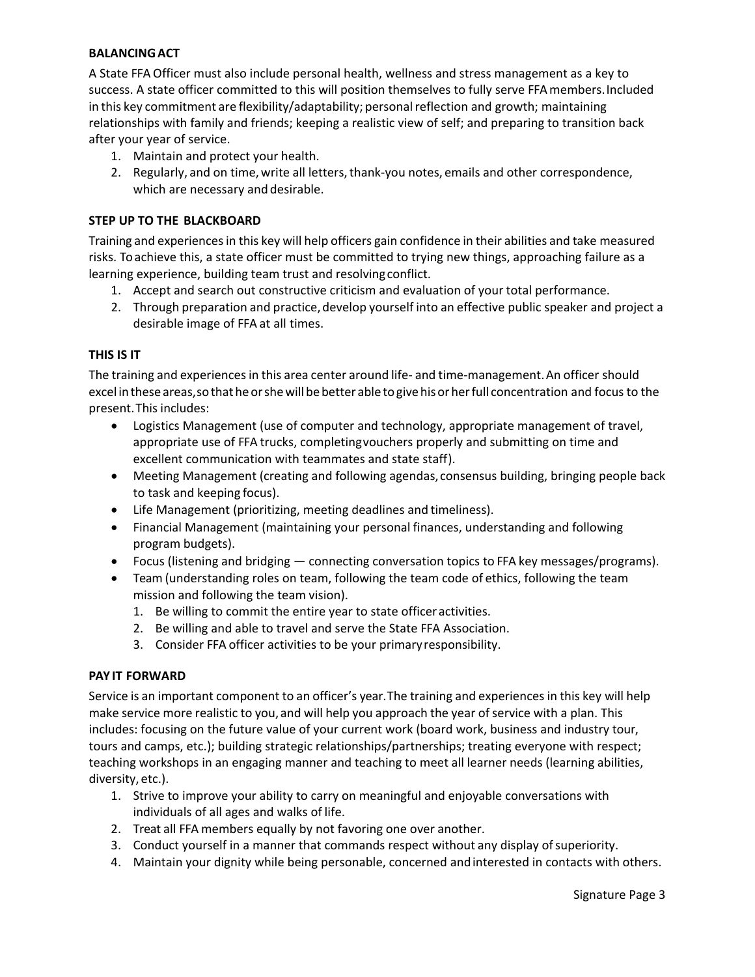### **BALANCINGACT**

A State FFA Officer must also include personal health, wellness and stress management as a key to success. A state officer committed to this will position themselves to fully serve FFAmembers.Included in this key commitment are flexibility/adaptability; personalreflection and growth; maintaining relationships with family and friends; keeping a realistic view of self; and preparing to transition back after your year of service.

- 1. Maintain and protect your health.
- 2. Regularly, and on time, write all letters, thank-you notes, emails and other correspondence, which are necessary and desirable.

### **STEP UP TO THE BLACKBOARD**

Training and experiencesin this key will help officers gain confidence in their abilities and take measured risks. To achieve this, a state officer must be committed to trying new things, approaching failure as a learning experience, building team trust and resolvingconflict.

- 1. Accept and search out constructive criticism and evaluation of your total performance.
- 2. Through preparation and practice, develop yourself into an effective public speaker and project a desirable image of FFA at all times.

### **THIS IS IT**

The training and experiences in this area center around life- and time-management. An officer should excel inthese areas,sothatheorshewill bebetter able togivehisor herfull concentration and focusto the present. This includes:

- Logistics Management (use of computer and technology, appropriate management of travel, appropriate use of FFA trucks, completingvouchers properly and submitting on time and excellent communication with teammates and state staff).
- Meeting Management (creating and following agendas, consensus building, bringing people back to task and keeping focus).
- Life Management (prioritizing, meeting deadlines and timeliness).
- Financial Management (maintaining your personal finances, understanding and following program budgets).
- Focus (listening and bridging connecting conversation topics to FFA key messages/programs).
- Team (understanding roles on team, following the team code of ethics, following the team mission and following the team vision).
	- 1. Be willing to commit the entire year to state officeractivities.
	- 2. Be willing and able to travel and serve the State FFA Association.
	- 3. Consider FFA officer activities to be your primaryresponsibility.

### **PAY IT FORWARD**

Service is an important component to an officer's year. The training and experiences in this key will help make service more realistic to you, and will help you approach the year of service with a plan. This includes: focusing on the future value of your current work (board work, business and industry tour, tours and camps, etc.); building strategic relationships/partnerships; treating everyone with respect; teaching workshops in an engaging manner and teaching to meet all learner needs (learning abilities, diversity, etc.).

- 1. Strive to improve your ability to carry on meaningful and enjoyable conversations with individuals of all ages and walks of life.
- 2. Treat all FFA members equally by not favoring one over another.
- 3. Conduct yourself in a manner that commands respect without any display ofsuperiority.
- 4. Maintain your dignity while being personable, concerned andinterested in contacts with others.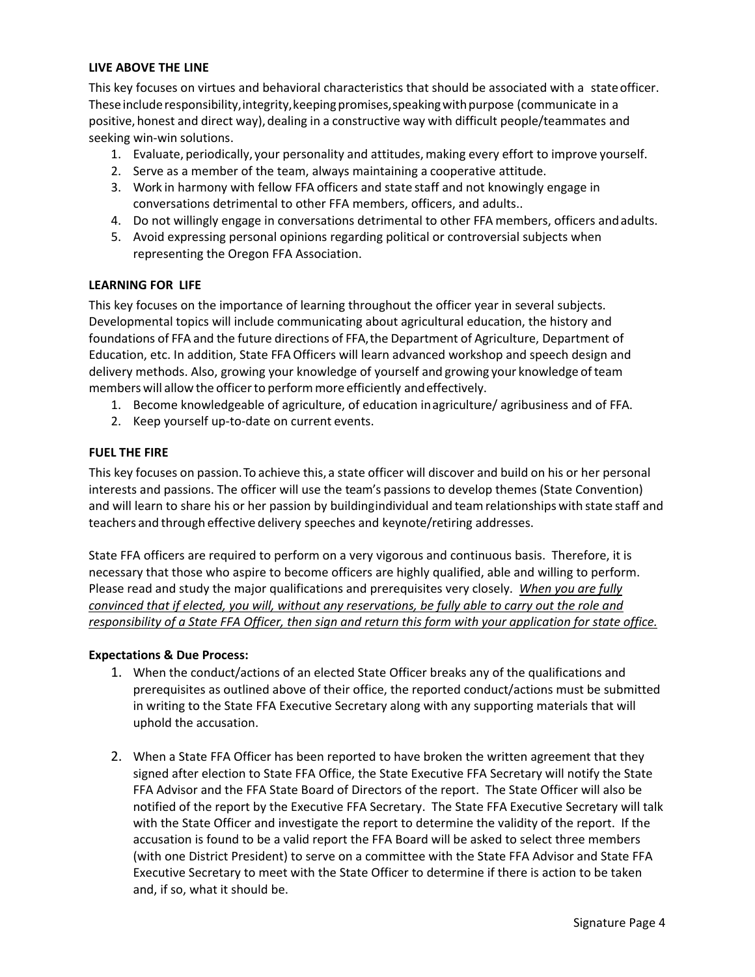### **LIVE ABOVE THE LINE**

This key focuses on virtues and behavioral characteristics that should be associated with a stateofficer. These include responsibility, integrity, keeping promises, speaking with purpose (communicate in a positive, honest and direct way), dealing in a constructive way with difficult people/teammates and seeking win-win solutions.

- 1. Evaluate, periodically, your personality and attitudes,making every effort to improve yourself.
- 2. Serve as a member of the team, always maintaining a cooperative attitude.
- 3. Work in harmony with fellow FFA officers and state staff and not knowingly engage in conversations detrimental to other FFA members, officers, and adults..
- 4. Do not willingly engage in conversations detrimental to other FFA members, officers andadults.
- 5. Avoid expressing personal opinions regarding political or controversial subjects when representing the Oregon FFA Association.

### **LEARNING FOR LIFE**

This key focuses on the importance of learning throughout the officer year in several subjects. Developmental topics will include communicating about agricultural education, the history and foundations of FFA and the future directions of FFA,the Department of Agriculture, Department of Education, etc. In addition, State FFA Officers will learn advanced workshop and speech design and delivery methods. Also, growing your knowledge of yourself and growing your knowledge ofteam members will allow the officerto performmore efficiently andeffectively.

- 1. Become knowledgeable of agriculture, of education inagriculture/ agribusiness and of FFA.
- 2. Keep yourself up-to-date on current events.

### **FUEL THE FIRE**

This key focuses on passion.To achieve this, a state officer will discover and build on his or her personal interests and passions. The officer will use the team's passions to develop themes (State Convention) and will learn to share his or her passion by buildingindividual and teamrelationships with state staff and teachers and through effective delivery speeches and keynote/retiring addresses.

State FFA officers are required to perform on a very vigorous and continuous basis. Therefore, it is necessary that those who aspire to become officers are highly qualified, able and willing to perform. Please read and study the major qualifications and prerequisites very closely. *When you are fully convinced that if elected, you will, without any reservations, be fully able to carry out the role and responsibility of a State FFA Officer, then sign and return this form with your application for state office.*

### **Expectations & Due Process:**

- 1. When the conduct/actions of an elected State Officer breaks any of the qualifications and prerequisites as outlined above of their office, the reported conduct/actions must be submitted in writing to the State FFA Executive Secretary along with any supporting materials that will uphold the accusation.
- 2. When a State FFA Officer has been reported to have broken the written agreement that they signed after election to State FFA Office, the State Executive FFA Secretary will notify the State FFA Advisor and the FFA State Board of Directors of the report. The State Officer will also be notified of the report by the Executive FFA Secretary. The State FFA Executive Secretary will talk with the State Officer and investigate the report to determine the validity of the report. If the accusation is found to be a valid report the FFA Board will be asked to select three members (with one District President) to serve on a committee with the State FFA Advisor and State FFA Executive Secretary to meet with the State Officer to determine if there is action to be taken and, if so, what it should be.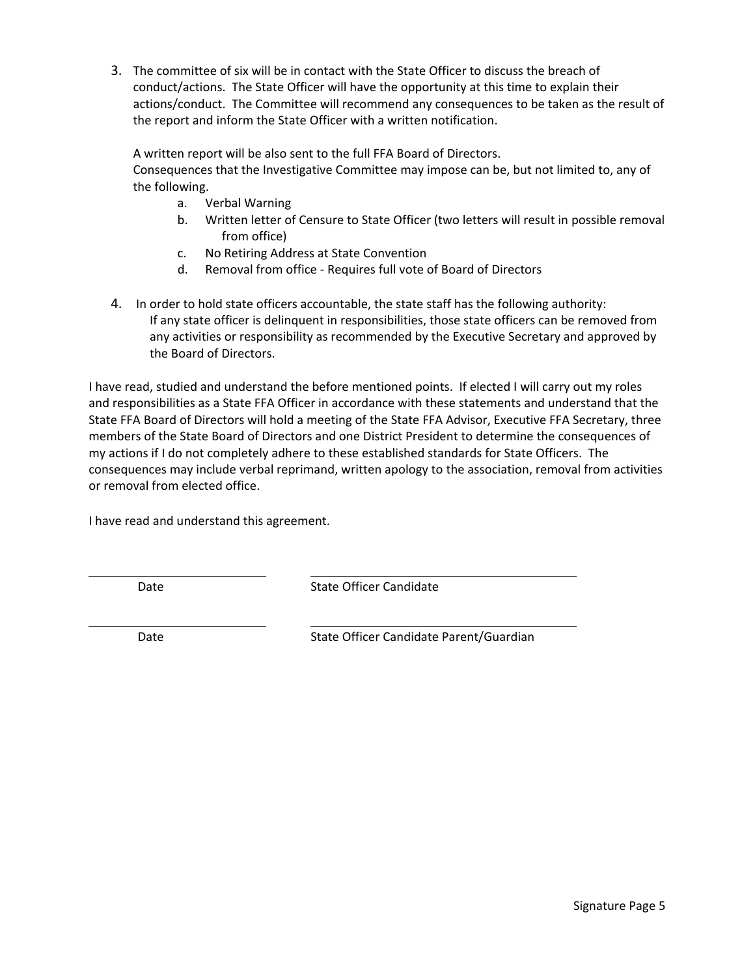3. The committee of six will be in contact with the State Officer to discuss the breach of conduct/actions. The State Officer will have the opportunity at this time to explain their actions/conduct. The Committee will recommend any consequences to be taken as the result of the report and inform the State Officer with a written notification.

A written report will be also sent to the full FFA Board of Directors.

Consequences that the Investigative Committee may impose can be, but not limited to, any of the following.

- a. Verbal Warning
- b. Written letter of Censure to State Officer (two letters will result in possible removal from office)
- c. No Retiring Address at State Convention
- d. Removal from office Requires full vote of Board of Directors
- 4. In order to hold state officers accountable, the state staff has the following authority: If any state officer is delinquent in responsibilities, those state officers can be removed from any activities or responsibility as recommended by the Executive Secretary and approved by the Board of Directors.

I have read, studied and understand the before mentioned points. If elected I will carry out my roles and responsibilities as a State FFA Officer in accordance with these statements and understand that the State FFA Board of Directors will hold a meeting of the State FFA Advisor, Executive FFA Secretary, three members of the State Board of Directors and one District President to determine the consequences of my actions if I do not completely adhere to these established standards for State Officers. The consequences may include verbal reprimand, written apology to the association, removal from activities or removal from elected office.

I have read and understand this agreement.

Date **State Officer Candidate** 

Date **State Officer Candidate Parent/Guardian**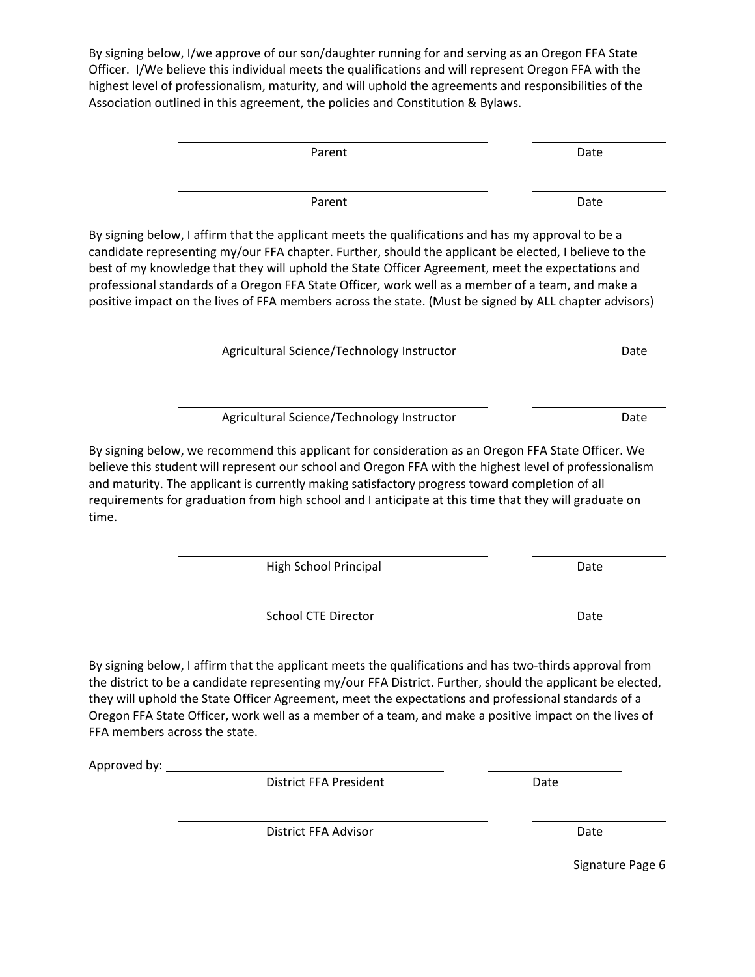By signing below, I/we approve of our son/daughter running for and serving as an Oregon FFA State Officer. I/We believe this individual meets the qualifications and will represent Oregon FFA with the highest level of professionalism, maturity, and will uphold the agreements and responsibilities of the Association outlined in this agreement, the policies and Constitution & Bylaws.

| Parent                                                                                                                                                                                                                                                                                                                                                                                                                                                                                                                          | Date |
|---------------------------------------------------------------------------------------------------------------------------------------------------------------------------------------------------------------------------------------------------------------------------------------------------------------------------------------------------------------------------------------------------------------------------------------------------------------------------------------------------------------------------------|------|
| Parent                                                                                                                                                                                                                                                                                                                                                                                                                                                                                                                          | Date |
| By signing below, I affirm that the applicant meets the qualifications and has my approval to be a<br>candidate representing my/our FFA chapter. Further, should the applicant be elected, I believe to the<br>best of my knowledge that they will uphold the State Officer Agreement, meet the expectations and<br>professional standards of a Oregon FFA State Officer, work well as a member of a team, and make a<br>positive impact on the lives of FFA members across the state. (Must be signed by ALL chapter advisors) |      |
| Agricultural Science/Technology Instructor                                                                                                                                                                                                                                                                                                                                                                                                                                                                                      | Date |
| Agricultural Science/Technology Instructor                                                                                                                                                                                                                                                                                                                                                                                                                                                                                      | Date |
| By signing below, we recommend this applicant for consideration as an Oregon FFA State Officer. We<br>believe this student will represent our school and Oregon FFA with the highest level of professionalism<br>and maturity. The applicant is currently making satisfactory progress toward completion of all<br>requirements for graduation from high school and I anticipate at this time that they will graduate on<br>time.                                                                                               |      |
| <b>High School Principal</b>                                                                                                                                                                                                                                                                                                                                                                                                                                                                                                    | Date |
| <b>School CTE Director</b>                                                                                                                                                                                                                                                                                                                                                                                                                                                                                                      | Date |
|                                                                                                                                                                                                                                                                                                                                                                                                                                                                                                                                 |      |

By signing below, I affirm that the applicant meets the qualifications and has two-thirds approval from the district to be a candidate representing my/our FFA District. Further, should the applicant be elected, they will uphold the State Officer Agreement, meet the expectations and professional standards of a Oregon FFA State Officer, work well as a member of a team, and make a positive impact on the lives of FFA members across the state.

Approved by:

time.

District FFA President **Date** 

District FFA Advisor **Date** 

Signature Page 6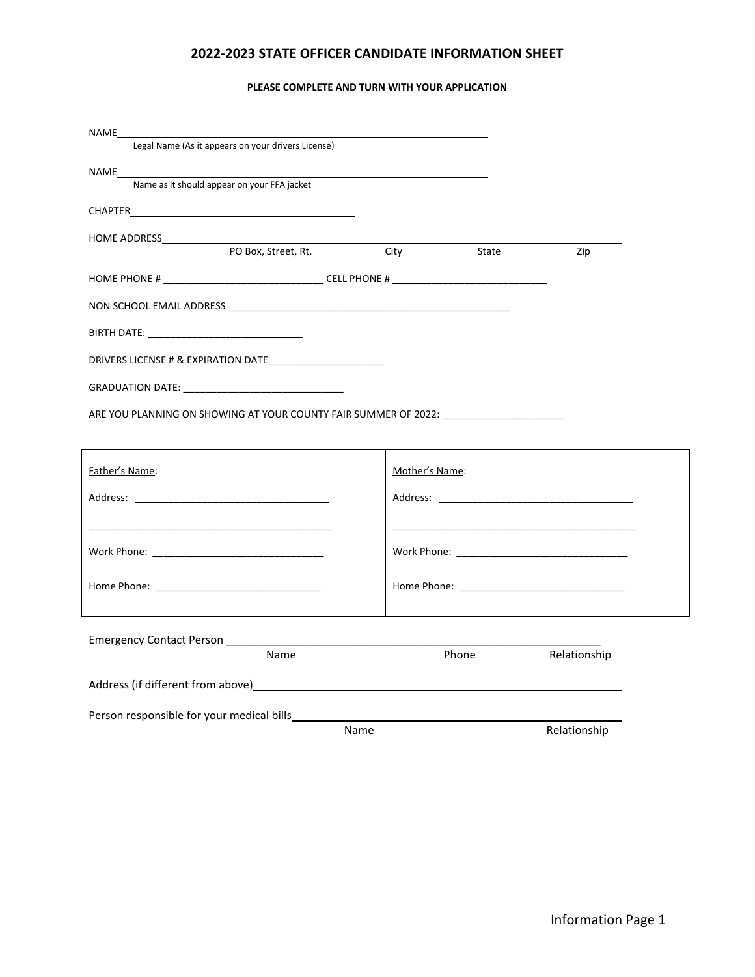### **2022-2023 STATE OFFICER CANDIDATE INFORMATION SHEET**

#### **PLEASE COMPLETE AND TURN WITH YOUR APPLICATION**

| NAME                                                            |      |                  |       |              |
|-----------------------------------------------------------------|------|------------------|-------|--------------|
| Legal Name (As it appears on your drivers License)              |      |                  |       |              |
| NAME <b>NAME</b><br>Name as it should appear on your FFA jacket |      |                  |       |              |
|                                                                 |      |                  |       |              |
|                                                                 |      |                  |       |              |
| PO Box, Street, Rt.                                             |      | <b>City City</b> | State | Zip          |
|                                                                 |      |                  |       |              |
|                                                                 |      |                  |       |              |
|                                                                 |      |                  |       |              |
|                                                                 |      |                  |       |              |
|                                                                 |      |                  |       |              |
|                                                                 |      |                  |       |              |
|                                                                 |      |                  |       |              |
| ARE YOU PLANNING ON SHOWING AT YOUR COUNTY FAIR SUMMER OF 2022: |      |                  |       |              |
|                                                                 |      |                  |       |              |
| Father's Name:                                                  |      | Mother's Name:   |       |              |
|                                                                 |      |                  |       |              |
|                                                                 |      |                  |       |              |
|                                                                 |      |                  |       |              |
|                                                                 |      |                  |       |              |
|                                                                 |      |                  |       |              |
|                                                                 |      |                  |       |              |
| Emergency Contact Person ___________                            |      |                  |       |              |
| Name                                                            |      | Phone            |       | Relationship |
| Address (if different from above)                               |      |                  |       |              |
|                                                                 |      |                  |       |              |
|                                                                 | Name |                  |       | Relationship |
|                                                                 |      |                  |       |              |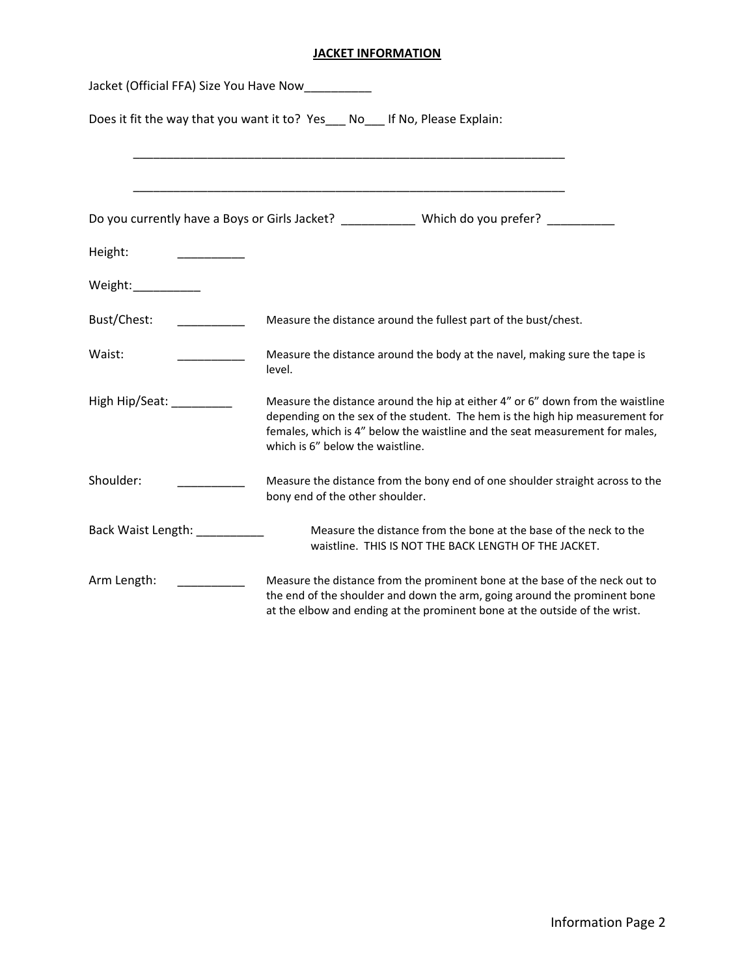## **JACKET INFORMATION**

| Jacket (Official FFA) Size You Have Now |                                                                                                                                                                                                                                                                                    |  |  |
|-----------------------------------------|------------------------------------------------------------------------------------------------------------------------------------------------------------------------------------------------------------------------------------------------------------------------------------|--|--|
|                                         | Does it fit the way that you want it to? Yes ___ No ___ If No, Please Explain:                                                                                                                                                                                                     |  |  |
|                                         | Do you currently have a Boys or Girls Jacket? Which do you prefer?                                                                                                                                                                                                                 |  |  |
| Height:                                 |                                                                                                                                                                                                                                                                                    |  |  |
| Weight:__________                       |                                                                                                                                                                                                                                                                                    |  |  |
| Bust/Chest:                             | Measure the distance around the fullest part of the bust/chest.                                                                                                                                                                                                                    |  |  |
| Waist:                                  | Measure the distance around the body at the navel, making sure the tape is<br>level.                                                                                                                                                                                               |  |  |
| High Hip/Seat: __________               | Measure the distance around the hip at either 4" or 6" down from the waistline<br>depending on the sex of the student. The hem is the high hip measurement for<br>females, which is 4" below the waistline and the seat measurement for males,<br>which is 6" below the waistline. |  |  |
| Shoulder:                               | Measure the distance from the bony end of one shoulder straight across to the<br>bony end of the other shoulder.                                                                                                                                                                   |  |  |
| Back Waist Length: _________            | Measure the distance from the bone at the base of the neck to the<br>waistline. THIS IS NOT THE BACK LENGTH OF THE JACKET.                                                                                                                                                         |  |  |
| Arm Length:                             | Measure the distance from the prominent bone at the base of the neck out to<br>the end of the shoulder and down the arm, going around the prominent bone<br>at the elbow and ending at the prominent bone at the outside of the wrist.                                             |  |  |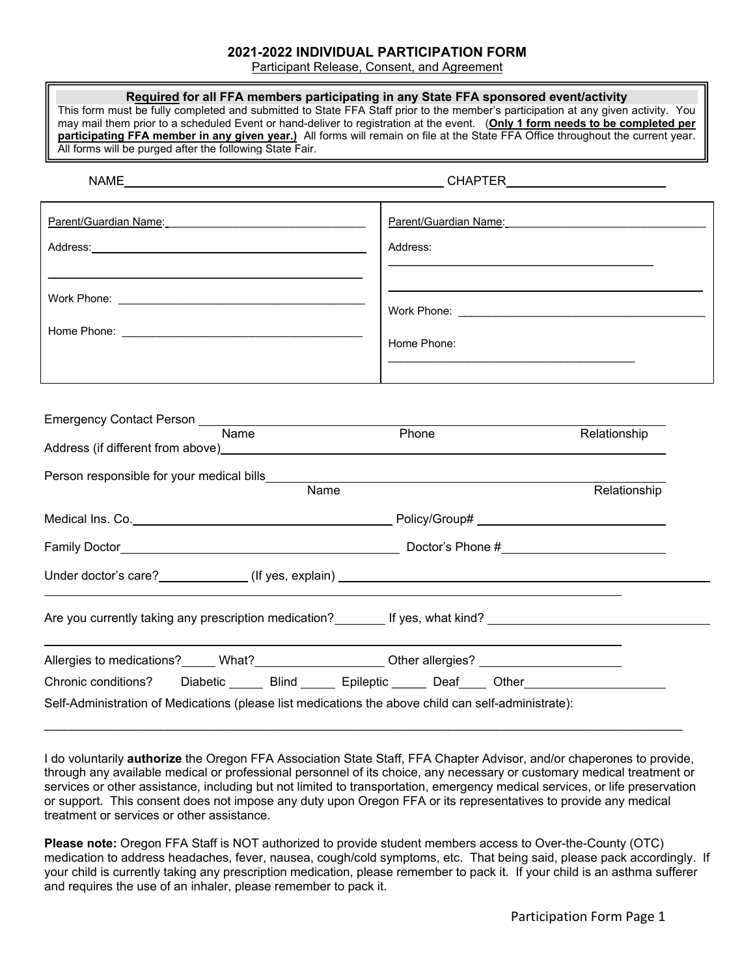### **2021-2022 INDIVIDUAL PARTICIPATION FORM**

Participant Release, Consent, and Agreement

| All forms will be purged after the following State Fair.                                                                                                                                                                                                                                                               | Required for all FFA members participating in any State FFA sponsored event/activity<br>This form must be fully completed and submitted to State FFA Staff prior to the member's participation at any given activity. You<br>may mail them prior to a scheduled Event or hand-deliver to registration at the event. (Only 1 form needs to be completed per<br>participating FFA member in any given year.) All forms will remain on file at the State FFA Office throughout the current year. |  |
|------------------------------------------------------------------------------------------------------------------------------------------------------------------------------------------------------------------------------------------------------------------------------------------------------------------------|-----------------------------------------------------------------------------------------------------------------------------------------------------------------------------------------------------------------------------------------------------------------------------------------------------------------------------------------------------------------------------------------------------------------------------------------------------------------------------------------------|--|
|                                                                                                                                                                                                                                                                                                                        |                                                                                                                                                                                                                                                                                                                                                                                                                                                                                               |  |
| Parent/Guardian Name: Manner State Communication of the Parent Communication of the Parent Communication of the                                                                                                                                                                                                        | Parent/Guardian Name:                                                                                                                                                                                                                                                                                                                                                                                                                                                                         |  |
|                                                                                                                                                                                                                                                                                                                        | Address:                                                                                                                                                                                                                                                                                                                                                                                                                                                                                      |  |
|                                                                                                                                                                                                                                                                                                                        |                                                                                                                                                                                                                                                                                                                                                                                                                                                                                               |  |
|                                                                                                                                                                                                                                                                                                                        |                                                                                                                                                                                                                                                                                                                                                                                                                                                                                               |  |
|                                                                                                                                                                                                                                                                                                                        | Home Phone:                                                                                                                                                                                                                                                                                                                                                                                                                                                                                   |  |
| $\overline{\mathsf{Name}}$<br>Address (if different from above) example and the state of the state of the state of the state of the state of the state of the state of the state of the state of the state of the state of the state of the state of the sta<br>Person responsible for your medical bills_____<br>Name | Phone<br>Relationship<br>Relationship                                                                                                                                                                                                                                                                                                                                                                                                                                                         |  |
|                                                                                                                                                                                                                                                                                                                        |                                                                                                                                                                                                                                                                                                                                                                                                                                                                                               |  |
|                                                                                                                                                                                                                                                                                                                        |                                                                                                                                                                                                                                                                                                                                                                                                                                                                                               |  |
|                                                                                                                                                                                                                                                                                                                        |                                                                                                                                                                                                                                                                                                                                                                                                                                                                                               |  |
|                                                                                                                                                                                                                                                                                                                        | Are you currently taking any prescription medication?<br>If yes, what kind?  Interaction of the section of the section of the section of the section of the section of                                                                                                                                                                                                                                                                                                                        |  |
| Allergies to medications? Mhat? Music Cherallergies? Music Cherallergies Allergies on the Cheral Allergies Allergies Allergies Allergies Allergies Allergies Allergies Allergies Allergies Allergies Allergies Allergies Aller                                                                                         |                                                                                                                                                                                                                                                                                                                                                                                                                                                                                               |  |
| Chronic conditions?                                                                                                                                                                                                                                                                                                    | Diabetic ______ Blind ______ Epileptic ______ Deaf ____ Other __________________                                                                                                                                                                                                                                                                                                                                                                                                              |  |
| Self-Administration of Medications (please list medications the above child can self-administrate):                                                                                                                                                                                                                    |                                                                                                                                                                                                                                                                                                                                                                                                                                                                                               |  |

I do voluntarily **authorize** the Oregon FFA Association State Staff, FFA Chapter Advisor, and/or chaperones to provide, through any available medical or professional personnel of its choice, any necessary or customary medical treatment or services or other assistance, including but not limited to transportation, emergency medical services, or life preservation or support. This consent does not impose any duty upon Oregon FFA or its representatives to provide any medical treatment or services or other assistance.

**Please note:** Oregon FFA Staff is NOT authorized to provide student members access to Over-the-County (OTC) medication to address headaches, fever, nausea, cough/cold symptoms, etc. That being said, please pack accordingly. If your child is currently taking any prescription medication, please remember to pack it. If your child is an asthma sufferer and requires the use of an inhaler, please remember to pack it.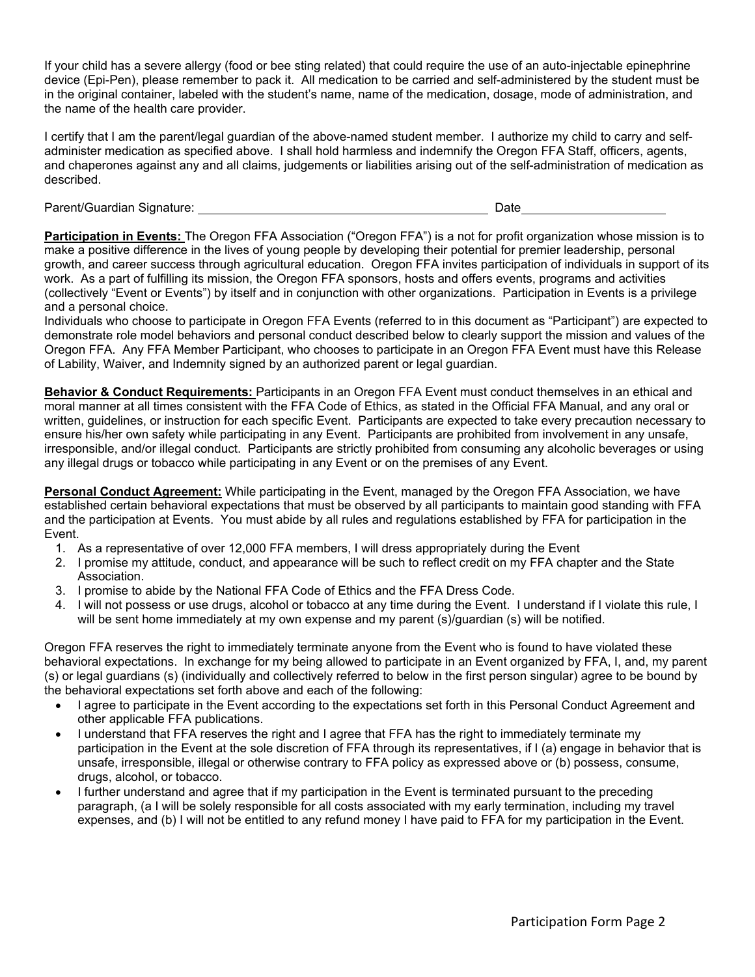If your child has a severe allergy (food or bee sting related) that could require the use of an auto-injectable epinephrine device (Epi-Pen), please remember to pack it. All medication to be carried and self-administered by the student must be in the original container, labeled with the student's name, name of the medication, dosage, mode of administration, and the name of the health care provider.

I certify that I am the parent/legal guardian of the above-named student member. I authorize my child to carry and selfadminister medication as specified above. I shall hold harmless and indemnify the Oregon FFA Staff, officers, agents, and chaperones against any and all claims, judgements or liabilities arising out of the self-administration of medication as described.

Parent/Guardian Signature: Date

**Participation in Events:** The Oregon FFA Association ("Oregon FFA") is a not for profit organization whose mission is to make a positive difference in the lives of young people by developing their potential for premier leadership, personal growth, and career success through agricultural education. Oregon FFA invites participation of individuals in support of its work. As a part of fulfilling its mission, the Oregon FFA sponsors, hosts and offers events, programs and activities (collectively "Event or Events") by itself and in conjunction with other organizations. Participation in Events is a privilege and a personal choice.

Individuals who choose to participate in Oregon FFA Events (referred to in this document as "Participant") are expected to demonstrate role model behaviors and personal conduct described below to clearly support the mission and values of the Oregon FFA. Any FFA Member Participant, who chooses to participate in an Oregon FFA Event must have this Release of Lability, Waiver, and Indemnity signed by an authorized parent or legal guardian.

**Behavior & Conduct Requirements:** Participants in an Oregon FFA Event must conduct themselves in an ethical and moral manner at all times consistent with the FFA Code of Ethics, as stated in the Official FFA Manual, and any oral or written, guidelines, or instruction for each specific Event. Participants are expected to take every precaution necessary to ensure his/her own safety while participating in any Event. Participants are prohibited from involvement in any unsafe, irresponsible, and/or illegal conduct. Participants are strictly prohibited from consuming any alcoholic beverages or using any illegal drugs or tobacco while participating in any Event or on the premises of any Event.

**Personal Conduct Agreement:** While participating in the Event, managed by the Oregon FFA Association, we have established certain behavioral expectations that must be observed by all participants to maintain good standing with FFA and the participation at Events. You must abide by all rules and regulations established by FFA for participation in the Event.

- 1. As a representative of over 12,000 FFA members, I will dress appropriately during the Event
- 2. I promise my attitude, conduct, and appearance will be such to reflect credit on my FFA chapter and the State Association.
- 3. I promise to abide by the National FFA Code of Ethics and the FFA Dress Code.
- 4. I will not possess or use drugs, alcohol or tobacco at any time during the Event. I understand if I violate this rule, I will be sent home immediately at my own expense and my parent (s)/guardian (s) will be notified.

Oregon FFA reserves the right to immediately terminate anyone from the Event who is found to have violated these behavioral expectations. In exchange for my being allowed to participate in an Event organized by FFA, I, and, my parent (s) or legal guardians (s) (individually and collectively referred to below in the first person singular) agree to be bound by the behavioral expectations set forth above and each of the following:

- I agree to participate in the Event according to the expectations set forth in this Personal Conduct Agreement and other applicable FFA publications.
- I understand that FFA reserves the right and I agree that FFA has the right to immediately terminate my participation in the Event at the sole discretion of FFA through its representatives, if I (a) engage in behavior that is unsafe, irresponsible, illegal or otherwise contrary to FFA policy as expressed above or (b) possess, consume, drugs, alcohol, or tobacco.
- I further understand and agree that if my participation in the Event is terminated pursuant to the preceding paragraph, (a I will be solely responsible for all costs associated with my early termination, including my travel expenses, and (b) I will not be entitled to any refund money I have paid to FFA for my participation in the Event.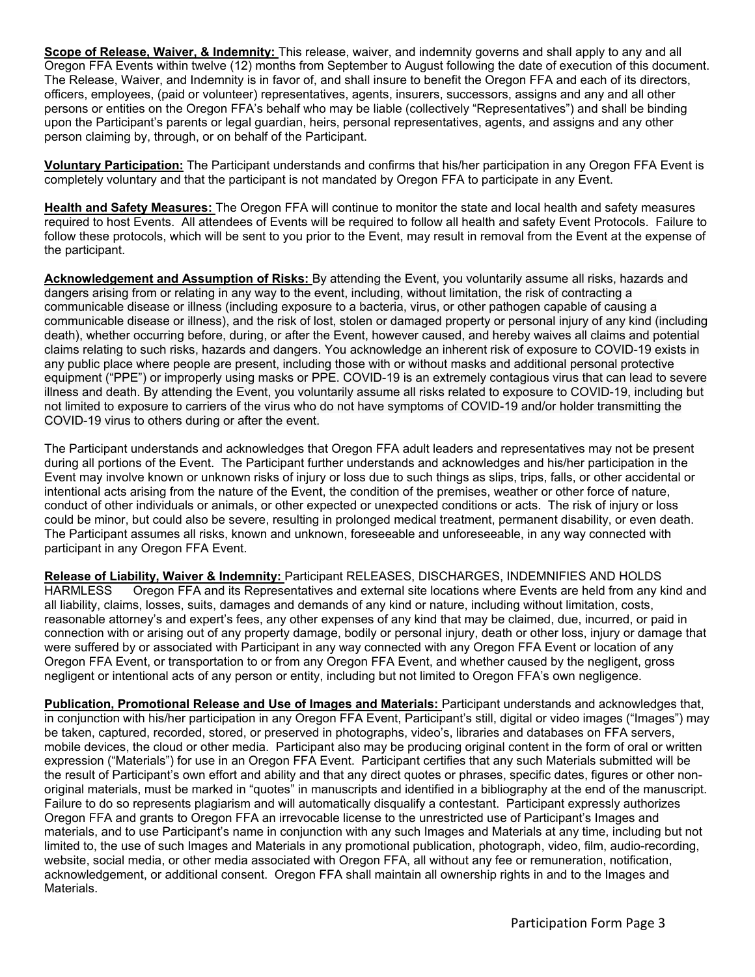**Scope of Release, Waiver, & Indemnity:** This release, waiver, and indemnity governs and shall apply to any and all Oregon FFA Events within twelve (12) months from September to August following the date of execution of this document. The Release, Waiver, and Indemnity is in favor of, and shall insure to benefit the Oregon FFA and each of its directors, officers, employees, (paid or volunteer) representatives, agents, insurers, successors, assigns and any and all other persons or entities on the Oregon FFA's behalf who may be liable (collectively "Representatives") and shall be binding upon the Participant's parents or legal guardian, heirs, personal representatives, agents, and assigns and any other person claiming by, through, or on behalf of the Participant.

**Voluntary Participation:** The Participant understands and confirms that his/her participation in any Oregon FFA Event is completely voluntary and that the participant is not mandated by Oregon FFA to participate in any Event.

**Health and Safety Measures:** The Oregon FFA will continue to monitor the state and local health and safety measures required to host Events. All attendees of Events will be required to follow all health and safety Event Protocols. Failure to follow these protocols, which will be sent to you prior to the Event, may result in removal from the Event at the expense of the participant.

**Acknowledgement and Assumption of Risks:** By attending the Event, you voluntarily assume all risks, hazards and dangers arising from or relating in any way to the event, including, without limitation, the risk of contracting a communicable disease or illness (including exposure to a bacteria, virus, or other pathogen capable of causing a communicable disease or illness), and the risk of lost, stolen or damaged property or personal injury of any kind (including death), whether occurring before, during, or after the Event, however caused, and hereby waives all claims and potential claims relating to such risks, hazards and dangers. You acknowledge an inherent risk of exposure to COVID-19 exists in any public place where people are present, including those with or without masks and additional personal protective equipment ("PPE") or improperly using masks or PPE. COVID-19 is an extremely contagious virus that can lead to severe illness and death. By attending the Event, you voluntarily assume all risks related to exposure to COVID-19, including but not limited to exposure to carriers of the virus who do not have symptoms of COVID-19 and/or holder transmitting the COVID-19 virus to others during or after the event.

The Participant understands and acknowledges that Oregon FFA adult leaders and representatives may not be present during all portions of the Event. The Participant further understands and acknowledges and his/her participation in the Event may involve known or unknown risks of injury or loss due to such things as slips, trips, falls, or other accidental or intentional acts arising from the nature of the Event, the condition of the premises, weather or other force of nature, conduct of other individuals or animals, or other expected or unexpected conditions or acts. The risk of injury or loss could be minor, but could also be severe, resulting in prolonged medical treatment, permanent disability, or even death. The Participant assumes all risks, known and unknown, foreseeable and unforeseeable, in any way connected with participant in any Oregon FFA Event.

**Release of Liability, Waiver & Indemnity:** Participant RELEASES, DISCHARGES, INDEMNIFIES AND HOLDS Oregon FFA and its Representatives and external site locations where Events are held from any kind and all liability, claims, losses, suits, damages and demands of any kind or nature, including without limitation, costs, reasonable attorney's and expert's fees, any other expenses of any kind that may be claimed, due, incurred, or paid in connection with or arising out of any property damage, bodily or personal injury, death or other loss, injury or damage that were suffered by or associated with Participant in any way connected with any Oregon FFA Event or location of any Oregon FFA Event, or transportation to or from any Oregon FFA Event, and whether caused by the negligent, gross negligent or intentional acts of any person or entity, including but not limited to Oregon FFA's own negligence.

**Publication, Promotional Release and Use of Images and Materials:** Participant understands and acknowledges that, in conjunction with his/her participation in any Oregon FFA Event, Participant's still, digital or video images ("Images") may be taken, captured, recorded, stored, or preserved in photographs, video's, libraries and databases on FFA servers, mobile devices, the cloud or other media. Participant also may be producing original content in the form of oral or written expression ("Materials") for use in an Oregon FFA Event. Participant certifies that any such Materials submitted will be the result of Participant's own effort and ability and that any direct quotes or phrases, specific dates, figures or other nonoriginal materials, must be marked in "quotes" in manuscripts and identified in a bibliography at the end of the manuscript. Failure to do so represents plagiarism and will automatically disqualify a contestant. Participant expressly authorizes Oregon FFA and grants to Oregon FFA an irrevocable license to the unrestricted use of Participant's Images and materials, and to use Participant's name in conjunction with any such Images and Materials at any time, including but not limited to, the use of such Images and Materials in any promotional publication, photograph, video, film, audio-recording, website, social media, or other media associated with Oregon FFA, all without any fee or remuneration, notification, acknowledgement, or additional consent. Oregon FFA shall maintain all ownership rights in and to the Images and Materials.